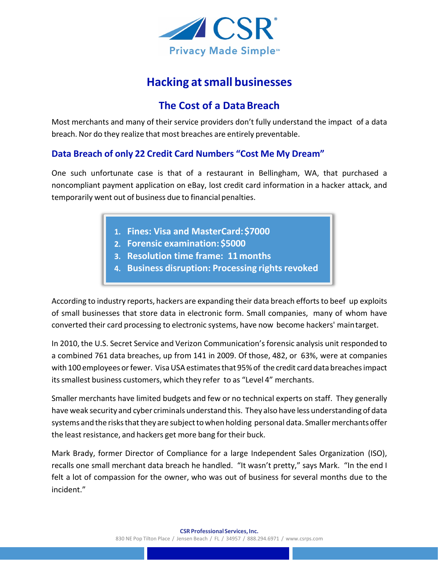

## **Hacking atsmall businesses**

## **The Cost of a DataBreach**

Most merchants and many of their service providers don't fully understand the impact of a data breach. Nor do they realize that most breaches are entirely preventable.

## **Data Breach of only 22 Credit Card Numbers "Cost Me My Dream"**

One such unfortunate case is that of a restaurant in Bellingham, WA, that purchased a noncompliant payment application on eBay, lost credit card information in a hacker attack, and temporarily went out of business due to financial penalties.

- **Fines: Visa and MasterCard:\$7000**
- **Forensic examination: \$5000**
- **Resolution time frame: 11months**
- **Business disruption: Processing rightsrevoked**

According to industry reports, hackers are expanding their data breach efforts to beef up exploits of small businesses that store data in electronic form. Small companies, many of whom have converted their card processing to electronic systems, have now become hackers' maintarget.

In 2010, the U.S. Secret Service and Verizon Communication'sforensic analysis unit responded to a combined 761 data breaches, up from 141 in 2009. Of those, 482, or 63%, were at companies with 100 employees or fewer. Visa USA estimates that 95% of the credit card data breaches impact its smallest business customers, which they refer to as "Level 4" merchants.

Smaller merchants have limited budgets and few or no technical experts on staff. They generally have weak security and cyber criminals understand this. They also have less understanding of data systems and the risks that they are subject to when holding personal data. Smaller merchants offer the least resistance, and hackers get more bang for their buck.

Mark Brady, former Director of Compliance for a large Independent Sales Organization (ISO), recalls one small merchant data breach he handled. "It wasn't pretty," says Mark. "In the end I felt a lot of compassion for the owner, who was out of business for several months due to the incident."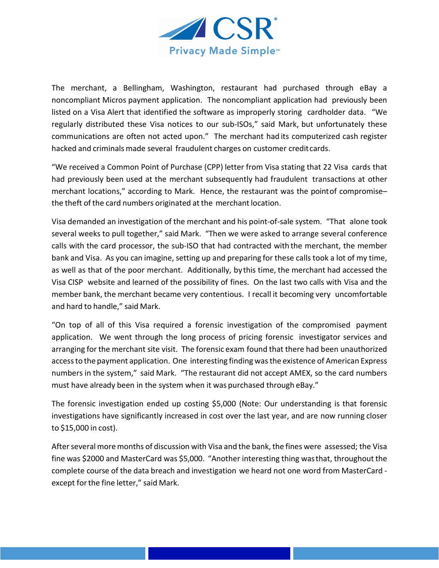

The merchant, a Bellingham, Washington, restaurant had purchased through eBay a noncompliant Micros payment application. The noncompliant application had previously been listed on a Visa Alert that identified the software as improperly storing cardholder data. "We regularly distributed these Visa notices to our sub-ISOs," said Mark, but unfortunately these communications are often not acted upon." The merchant had its computerized cash register hacked and criminals made several fraudulent charges on customer creditcards.

"We received a Common Point of Purchase (CPP) letter from Visa stating that 22 Visa cards that had previously been used at the merchant subsequently had fraudulent transactions at other merchant locations," according to Mark. Hence, the restaurant was the pointof compromise– the theft of the card numbers originated at the merchant location.

Visa demanded an investigation of the merchant and his point-of-sale system. "That alone took several weeks to pull together," said Mark. "Then we were asked to arrange several conference calls with the card processor, the sub-ISO that had contracted with the merchant, the member bank and Visa. As you can imagine, setting up and preparing for these calls took a lot of my time, as well as that of the poor merchant. Additionally, by this time, the merchant had accessed the Visa CISP website and learned of the possibility of fines. On the last two calls with Visa and the member bank, the merchant became very contentious. I recall it becoming very uncomfortable and hard to handle," said Mark.

"On top of all of this Visa required a forensic investigation of the compromised payment application. We went through the long process of pricing forensic investigator services and arranging for the merchant site visit. The forensic exam found that there had been unauthorized accessto the payment application. One interesting finding wasthe existence of American Express numbers in the system," said Mark. "The restaurant did not accept AMEX, so the card numbers must have already been in the system when it was purchased through eBay."

The forensic investigation ended up costing \$5,000 (Note: Our understanding is that forensic investigations have significantly increased in cost over the last year, and are now running closer to \$15,000 in cost).

After several more months of discussion with Visa and the bank, the fines were assessed; the Visa fine was \$2000 and MasterCard was \$5,000. "Another interesting thing wasthat, throughout the complete course of the data breach and investigation we heard not one word from MasterCard except forthe fine letter," said Mark.